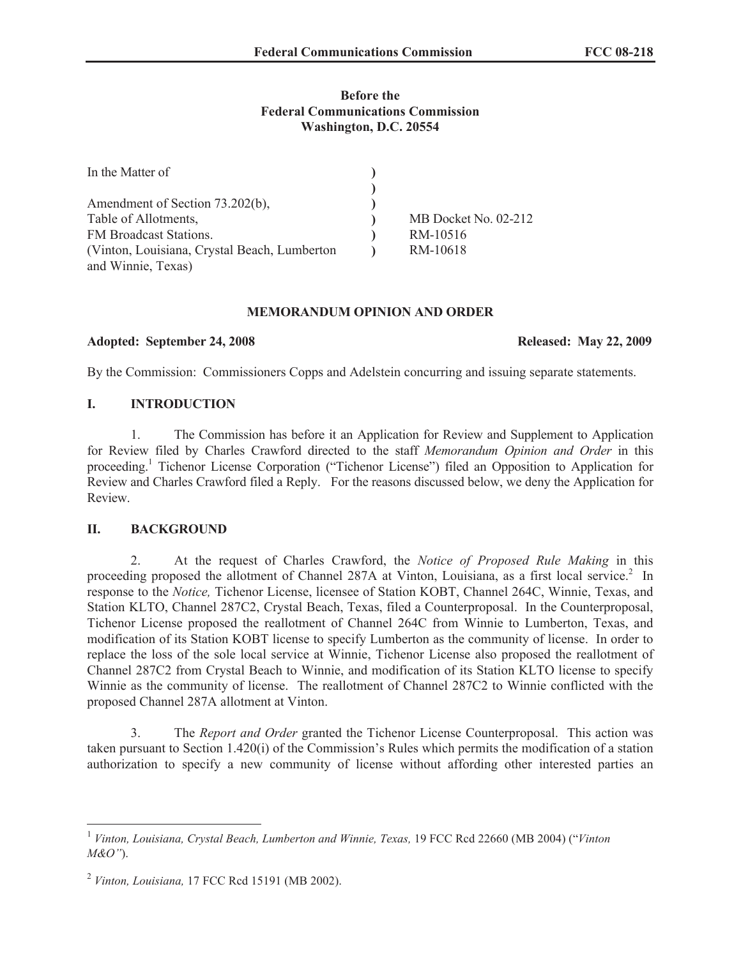# **Before the Federal Communications Commission Washington, D.C. 20554**

| In the Matter of                             |                      |
|----------------------------------------------|----------------------|
|                                              |                      |
| Amendment of Section 73.202(b),              |                      |
| Table of Allotments,                         | MB Docket No. 02-212 |
| FM Broadcast Stations.                       | RM-10516             |
| (Vinton, Louisiana, Crystal Beach, Lumberton | RM-10618             |
| and Winnie, Texas)                           |                      |

#### **MEMORANDUM OPINION AND ORDER**

#### **Adopted: September 24, 2008 Released: May 22, 2009**

By the Commission: Commissioners Copps and Adelstein concurring and issuing separate statements.

# **I. INTRODUCTION**

1. The Commission has before it an Application for Review and Supplement to Application for Review filed by Charles Crawford directed to the staff *Memorandum Opinion and Order* in this proceeding.<sup>1</sup> Tichenor License Corporation ("Tichenor License") filed an Opposition to Application for Review and Charles Crawford filed a Reply. For the reasons discussed below, we deny the Application for Review.

# **II. BACKGROUND**

2. At the request of Charles Crawford, the *Notice of Proposed Rule Making* in this proceeding proposed the allotment of Channel 287A at Vinton, Louisiana, as a first local service.<sup>2</sup> In response to the *Notice,* Tichenor License, licensee of Station KOBT, Channel 264C, Winnie, Texas, and Station KLTO, Channel 287C2, Crystal Beach, Texas, filed a Counterproposal. In the Counterproposal, Tichenor License proposed the reallotment of Channel 264C from Winnie to Lumberton, Texas, and modification of its Station KOBT license to specify Lumberton as the community of license. In order to replace the loss of the sole local service at Winnie, Tichenor License also proposed the reallotment of Channel 287C2 from Crystal Beach to Winnie, and modification of its Station KLTO license to specify Winnie as the community of license. The reallotment of Channel 287C2 to Winnie conflicted with the proposed Channel 287A allotment at Vinton.

3. The *Report and Order* granted the Tichenor License Counterproposal. This action was taken pursuant to Section 1.420(i) of the Commission's Rules which permits the modification of a station authorization to specify a new community of license without affording other interested parties an

<sup>&</sup>lt;sup>1</sup> Vinton, Louisiana, Crystal Beach, Lumberton and Winnie, Texas, 19 FCC Rcd 22660 (MB 2004) ("Vinton *M&O"*).

<sup>2</sup> *Vinton, Louisiana,* 17 FCC Rcd 15191 (MB 2002).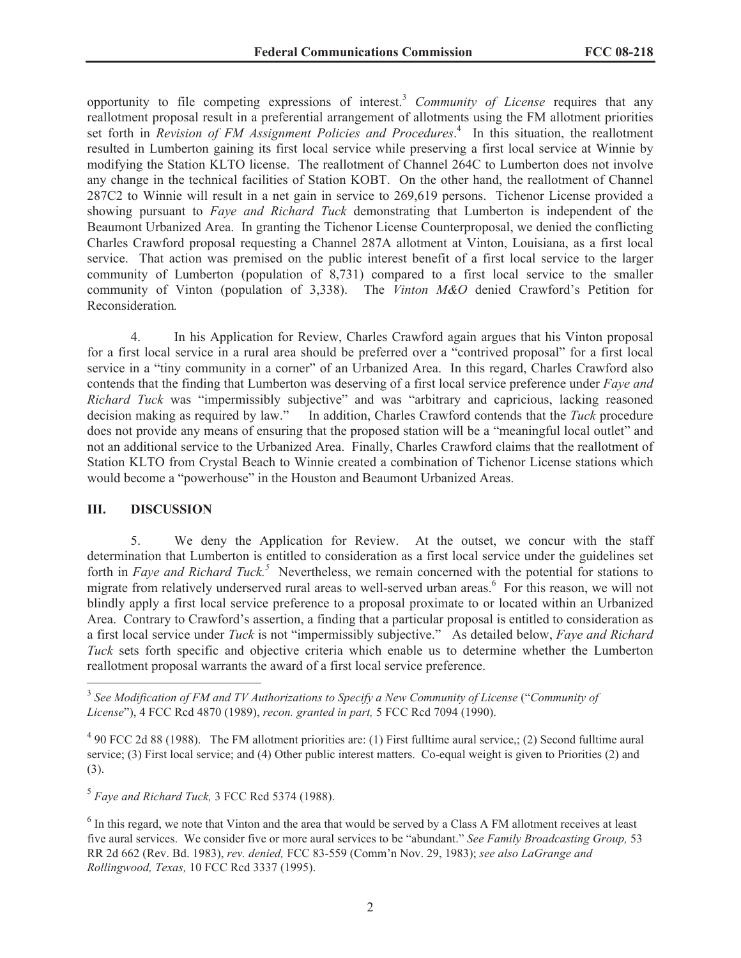opportunity to file competing expressions of interest.<sup>3</sup> *Community of License* requires that any reallotment proposal result in a preferential arrangement of allotments using the FM allotment priorities set forth in *Revision of FM Assignment Policies and Procedures*. 4 In this situation, the reallotment resulted in Lumberton gaining its first local service while preserving a first local service at Winnie by modifying the Station KLTO license. The reallotment of Channel 264C to Lumberton does not involve any change in the technical facilities of Station KOBT. On the other hand, the reallotment of Channel 287C2 to Winnie will result in a net gain in service to 269,619 persons. Tichenor License provided a showing pursuant to *Faye and Richard Tuck* demonstrating that Lumberton is independent of the Beaumont Urbanized Area. In granting the Tichenor License Counterproposal, we denied the conflicting Charles Crawford proposal requesting a Channel 287A allotment at Vinton, Louisiana, as a first local service. That action was premised on the public interest benefit of a first local service to the larger community of Lumberton (population of 8,731) compared to a first local service to the smaller community of Vinton (population of 3,338). The *Vinton M&O* denied Crawford's Petition for Reconsideration*.*

4. In his Application for Review, Charles Crawford again argues that his Vinton proposal for a first local service in a rural area should be preferred over a "contrived proposal" for a first local service in a "tiny community in a corner" of an Urbanized Area. In this regard, Charles Crawford also contends that the finding that Lumberton was deserving of a first local service preference under *Faye and Richard Tuck* was "impermissibly subjective" and was "arbitrary and capricious, lacking reasoned decision making as required by law." In addition, Charles Crawford contends that the *Tuck* procedure In addition, Charles Crawford contends that the *Tuck* procedure does not provide any means of ensuring that the proposed station will be a "meaningful local outlet" and not an additional service to the Urbanized Area. Finally, Charles Crawford claims that the reallotment of Station KLTO from Crystal Beach to Winnie created a combination of Tichenor License stations which would become a "powerhouse" in the Houston and Beaumont Urbanized Areas.

### **III. DISCUSSION**

5. We deny the Application for Review. At the outset, we concur with the staff determination that Lumberton is entitled to consideration as a first local service under the guidelines set forth in *Faye and Richard Tuck.<sup>5</sup>* Nevertheless, we remain concerned with the potential for stations to migrate from relatively underserved rural areas to well-served urban areas.<sup>6</sup> For this reason, we will not blindly apply a first local service preference to a proposal proximate to or located within an Urbanized Area. Contrary to Crawford's assertion, a finding that a particular proposal is entitled to consideration as a first local service under *Tuck* is not "impermissibly subjective." As detailed below, *Faye and Richard Tuck* sets forth specific and objective criteria which enable us to determine whether the Lumberton reallotment proposal warrants the award of a first local service preference.

5 *Faye and Richard Tuck,* 3 FCC Rcd 5374 (1988).

<sup>&</sup>lt;sup>3</sup> See Modification of FM and TV Authorizations to Specify a New Community of License ("Community of *License*"), 4 FCC Rcd 4870 (1989), *recon. granted in part,* 5 FCC Rcd 7094 (1990).

 $4$  90 FCC 2d 88 (1988). The FM allotment priorities are: (1) First fulltime aural service,; (2) Second fulltime aural service; (3) First local service; and (4) Other public interest matters. Co-equal weight is given to Priorities (2) and (3).

<sup>&</sup>lt;sup>6</sup> In this regard, we note that Vinton and the area that would be served by a Class A FM allotment receives at least five aural services. We consider five or more aural services to be "abundant." *See Family Broadcasting Group,* 53 RR 2d 662 (Rev. Bd. 1983), *rev. denied,* FCC 83-559 (Comm'n Nov. 29, 1983); *see also LaGrange and Rollingwood, Texas,* 10 FCC Rcd 3337 (1995).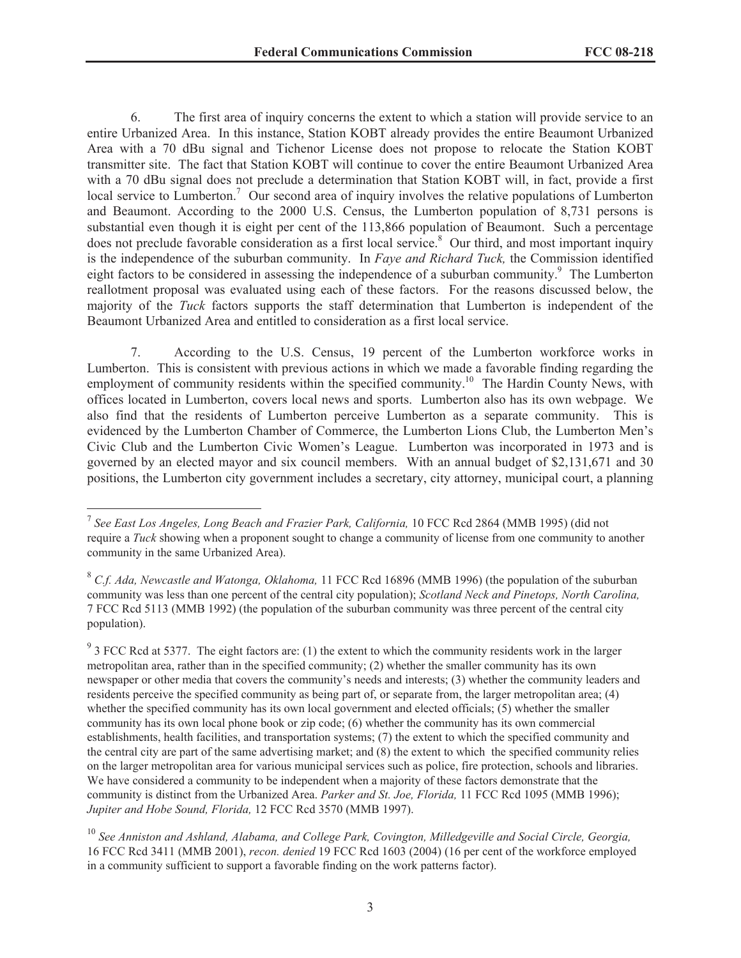6. The first area of inquiry concerns the extent to which a station will provide service to an entire Urbanized Area. In this instance, Station KOBT already provides the entire Beaumont Urbanized Area with a 70 dBu signal and Tichenor License does not propose to relocate the Station KOBT transmitter site. The fact that Station KOBT will continue to cover the entire Beaumont Urbanized Area with a 70 dBu signal does not preclude a determination that Station KOBT will, in fact, provide a first local service to Lumberton.<sup>7</sup> Our second area of inquiry involves the relative populations of Lumberton and Beaumont. According to the 2000 U.S. Census, the Lumberton population of 8,731 persons is substantial even though it is eight per cent of the 113,866 population of Beaumont. Such a percentage does not preclude favorable consideration as a first local service.<sup>8</sup> Our third, and most important inquiry is the independence of the suburban community. In *Faye and Richard Tuck,* the Commission identified eight factors to be considered in assessing the independence of a suburban community.<sup>9</sup> The Lumberton reallotment proposal was evaluated using each of these factors. For the reasons discussed below, the majority of the *Tuck* factors supports the staff determination that Lumberton is independent of the Beaumont Urbanized Area and entitled to consideration as a first local service.

7. According to the U.S. Census, 19 percent of the Lumberton workforce works in Lumberton. This is consistent with previous actions in which we made a favorable finding regarding the employment of community residents within the specified community.<sup>10</sup> The Hardin County News, with offices located in Lumberton, covers local news and sports. Lumberton also has its own webpage. We also find that the residents of Lumberton perceive Lumberton as a separate community. This is evidenced by the Lumberton Chamber of Commerce, the Lumberton Lions Club, the Lumberton Men's Civic Club and the Lumberton Civic Women's League. Lumberton was incorporated in 1973 and is governed by an elected mayor and six council members. With an annual budget of \$2,131,671 and 30 positions, the Lumberton city government includes a secretary, city attorney, municipal court, a planning

<sup>&</sup>lt;sup>7</sup> See East Los Angeles, Long Beach and Frazier Park, California, 10 FCC Rcd 2864 (MMB 1995) (did not require a *Tuck* showing when a proponent sought to change a community of license from one community to another community in the same Urbanized Area).

<sup>8</sup> *C.f. Ada, Newcastle and Watonga, Oklahoma,* 11 FCC Rcd 16896 (MMB 1996) (the population of the suburban community was less than one percent of the central city population); *Scotland Neck and Pinetops, North Carolina,*  7 FCC Rcd 5113 (MMB 1992) (the population of the suburban community was three percent of the central city population).

 $9<sup>9</sup>$  3 FCC Rcd at 5377. The eight factors are: (1) the extent to which the community residents work in the larger metropolitan area, rather than in the specified community; (2) whether the smaller community has its own newspaper or other media that covers the community's needs and interests; (3) whether the community leaders and residents perceive the specified community as being part of, or separate from, the larger metropolitan area; (4) whether the specified community has its own local government and elected officials; (5) whether the smaller community has its own local phone book or zip code; (6) whether the community has its own commercial establishments, health facilities, and transportation systems; (7) the extent to which the specified community and the central city are part of the same advertising market; and (8) the extent to which the specified community relies on the larger metropolitan area for various municipal services such as police, fire protection, schools and libraries. We have considered a community to be independent when a majority of these factors demonstrate that the community is distinct from the Urbanized Area. *Parker and St. Joe, Florida,* 11 FCC Rcd 1095 (MMB 1996); *Jupiter and Hobe Sound, Florida,* 12 FCC Rcd 3570 (MMB 1997).

<sup>10</sup> *See Anniston and Ashland, Alabama, and College Park, Covington, Milledgeville and Social Circle, Georgia,*  16 FCC Rcd 3411 (MMB 2001), *recon. denied* 19 FCC Rcd 1603 (2004) (16 per cent of the workforce employed in a community sufficient to support a favorable finding on the work patterns factor).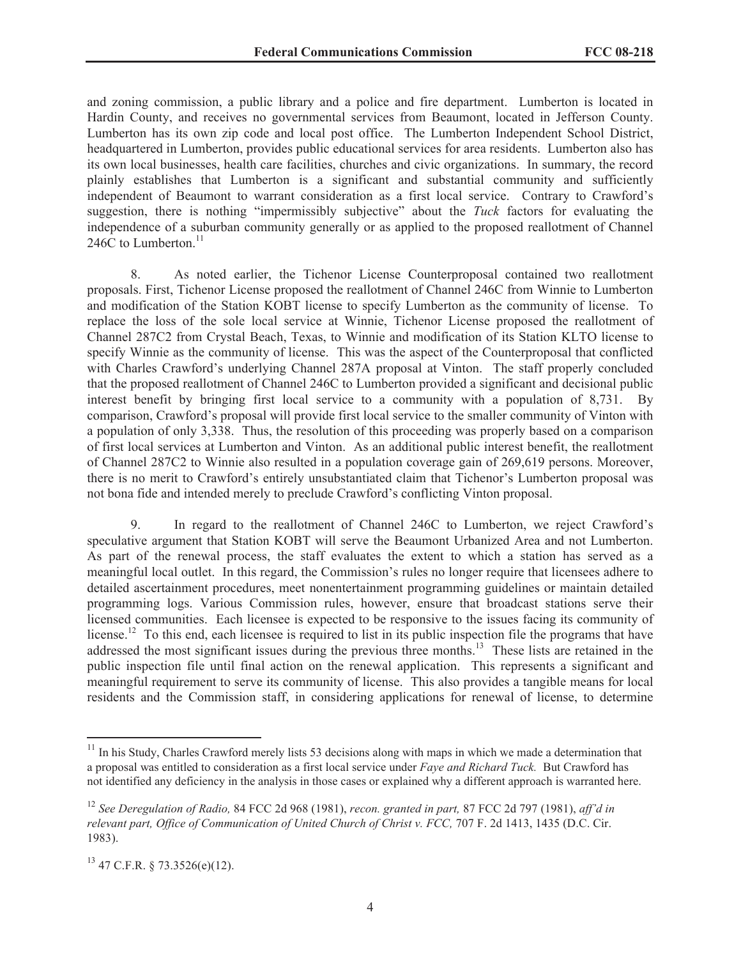and zoning commission, a public library and a police and fire department. Lumberton is located in Hardin County, and receives no governmental services from Beaumont, located in Jefferson County. Lumberton has its own zip code and local post office. The Lumberton Independent School District, headquartered in Lumberton, provides public educational services for area residents. Lumberton also has its own local businesses, health care facilities, churches and civic organizations. In summary, the record plainly establishes that Lumberton is a significant and substantial community and sufficiently independent of Beaumont to warrant consideration as a first local service. Contrary to Crawford's suggestion, there is nothing "impermissibly subjective" about the *Tuck* factors for evaluating the independence of a suburban community generally or as applied to the proposed reallotment of Channel 246C to Lumberton. $11$ 

8. As noted earlier, the Tichenor License Counterproposal contained two reallotment proposals. First, Tichenor License proposed the reallotment of Channel 246C from Winnie to Lumberton and modification of the Station KOBT license to specify Lumberton as the community of license. To replace the loss of the sole local service at Winnie, Tichenor License proposed the reallotment of Channel 287C2 from Crystal Beach, Texas, to Winnie and modification of its Station KLTO license to specify Winnie as the community of license. This was the aspect of the Counterproposal that conflicted with Charles Crawford's underlying Channel 287A proposal at Vinton. The staff properly concluded that the proposed reallotment of Channel 246C to Lumberton provided a significant and decisional public interest benefit by bringing first local service to a community with a population of 8,731. By comparison, Crawford's proposal will provide first local service to the smaller community of Vinton with a population of only 3,338. Thus, the resolution of this proceeding was properly based on a comparison of first local services at Lumberton and Vinton. As an additional public interest benefit, the reallotment of Channel 287C2 to Winnie also resulted in a population coverage gain of 269,619 persons. Moreover, there is no merit to Crawford's entirely unsubstantiated claim that Tichenor's Lumberton proposal was not bona fide and intended merely to preclude Crawford's conflicting Vinton proposal.

9. In regard to the reallotment of Channel 246C to Lumberton, we reject Crawford's speculative argument that Station KOBT will serve the Beaumont Urbanized Area and not Lumberton. As part of the renewal process, the staff evaluates the extent to which a station has served as a meaningful local outlet. In this regard, the Commission's rules no longer require that licensees adhere to detailed ascertainment procedures, meet nonentertainment programming guidelines or maintain detailed programming logs. Various Commission rules, however, ensure that broadcast stations serve their licensed communities. Each licensee is expected to be responsive to the issues facing its community of license.<sup>12</sup> To this end, each licensee is required to list in its public inspection file the programs that have addressed the most significant issues during the previous three months.<sup>13</sup> These lists are retained in the public inspection file until final action on the renewal application. This represents a significant and meaningful requirement to serve its community of license. This also provides a tangible means for local residents and the Commission staff, in considering applications for renewal of license, to determine

 $11$  In his Study, Charles Crawford merely lists 53 decisions along with maps in which we made a determination that a proposal was entitled to consideration as a first local service under *Faye and Richard Tuck.* But Crawford has not identified any deficiency in the analysis in those cases or explained why a different approach is warranted here.

<sup>12</sup> *See Deregulation of Radio,* 84 FCC 2d 968 (1981), *recon. granted in part,* 87 FCC 2d 797 (1981), *aff'd in relevant part, Office of Communication of United Church of Christ v. FCC,* 707 F. 2d 1413, 1435 (D.C. Cir. 1983).

 $13$  47 C.F.R. § 73.3526(e)(12).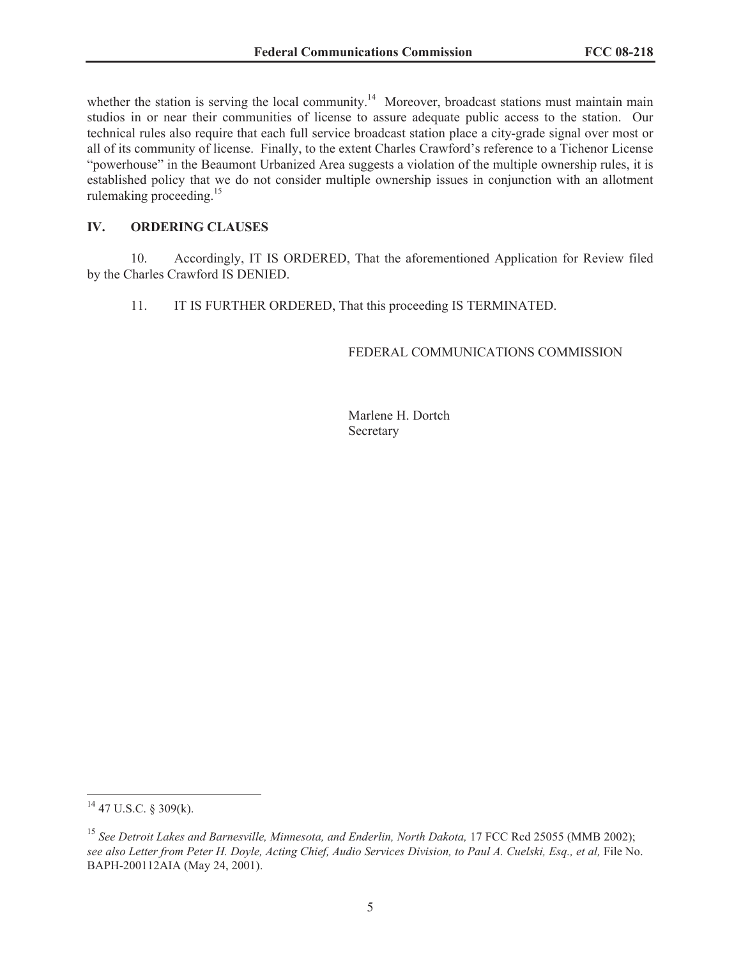whether the station is serving the local community.<sup>14</sup> Moreover, broadcast stations must maintain main studios in or near their communities of license to assure adequate public access to the station. Our technical rules also require that each full service broadcast station place a city-grade signal over most or all of its community of license. Finally, to the extent Charles Crawford's reference to a Tichenor License "powerhouse" in the Beaumont Urbanized Area suggests a violation of the multiple ownership rules, it is established policy that we do not consider multiple ownership issues in conjunction with an allotment rulemaking proceeding.<sup>15</sup>

# **IV. ORDERING CLAUSES**

10. Accordingly, IT IS ORDERED, That the aforementioned Application for Review filed by the Charles Crawford IS DENIED.

11. IT IS FURTHER ORDERED, That this proceeding IS TERMINATED.

# FEDERAL COMMUNICATIONS COMMISSION

Marlene H. Dortch Secretary

<sup>14</sup> 47 U.S.C. § 309(k).

<sup>&</sup>lt;sup>15</sup> See Detroit Lakes and Barnesville, Minnesota, and Enderlin, North Dakota, 17 FCC Rcd 25055 (MMB 2002); see also Letter from Peter H. Doyle, Acting Chief, Audio Services Division, to Paul A. Cuelski, Esq., et al, File No. BAPH-200112AIA (May 24, 2001).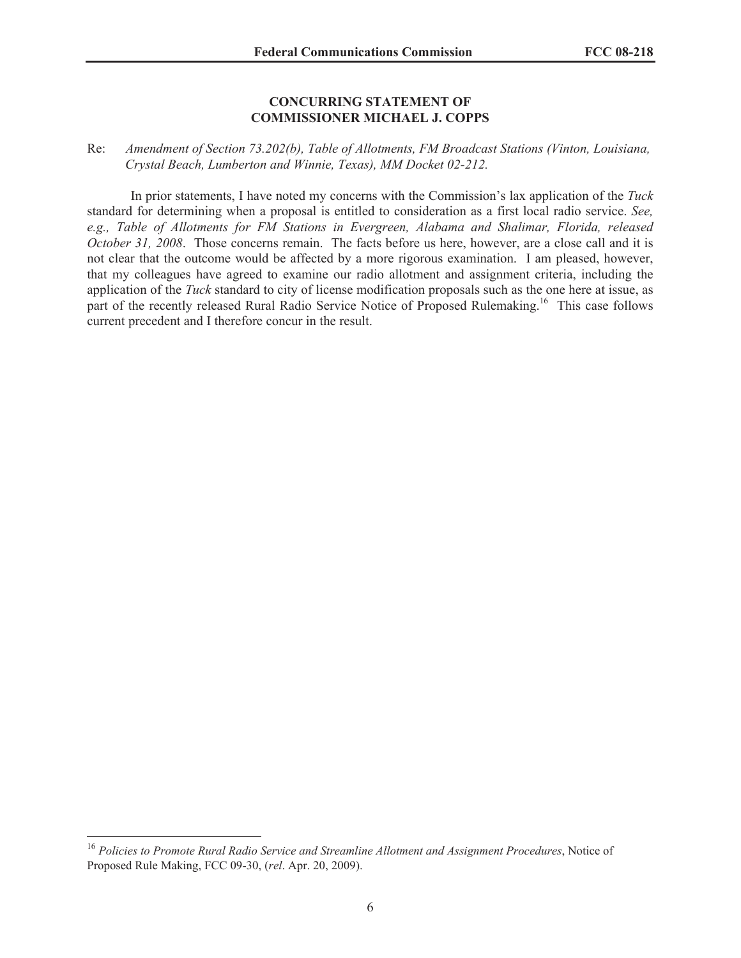#### **CONCURRING STATEMENT OF COMMISSIONER MICHAEL J. COPPS**

# Re: *Amendment of Section 73.202(b), Table of Allotments, FM Broadcast Stations (Vinton, Louisiana, Crystal Beach, Lumberton and Winnie, Texas), MM Docket 02-212.*

In prior statements, I have noted my concerns with the Commission's lax application of the *Tuck*  standard for determining when a proposal is entitled to consideration as a first local radio service. *See, e.g., Table of Allotments for FM Stations in Evergreen, Alabama and Shalimar, Florida, released October 31, 2008*. Those concerns remain. The facts before us here, however, are a close call and it is not clear that the outcome would be affected by a more rigorous examination. I am pleased, however, that my colleagues have agreed to examine our radio allotment and assignment criteria, including the application of the *Tuck* standard to city of license modification proposals such as the one here at issue, as part of the recently released Rural Radio Service Notice of Proposed Rulemaking.<sup>16</sup> This case follows current precedent and I therefore concur in the result.

<sup>16</sup> *Policies to Promote Rural Radio Service and Streamline Allotment and Assignment Procedures*, Notice of Proposed Rule Making, FCC 09-30, (*rel*. Apr. 20, 2009).